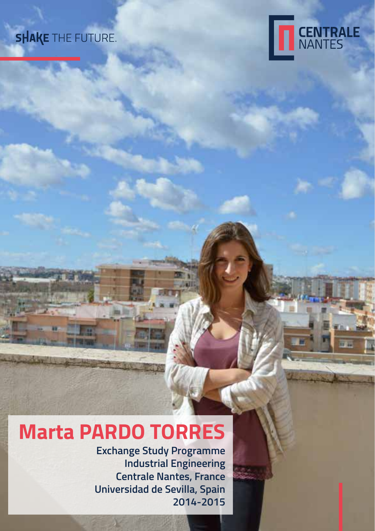## **SHAKE** THE FUTURE.



# **Marta PARDO TORRES**

**Exchange Study Programme Industrial Engineering Centrale Nantes, France Universidad de Sevilla, Spain 2014-2015**

all.